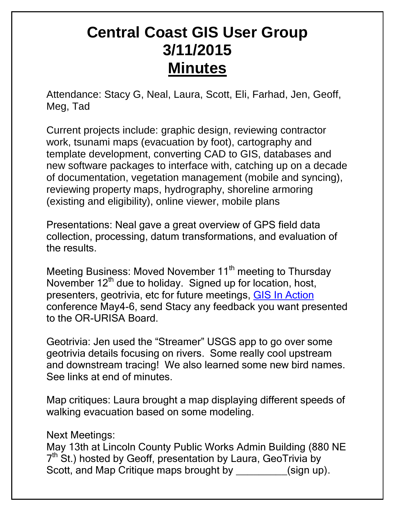## **Central Coast GIS User Group 3/11/2015 Minutes**

Attendance: Stacy G, Neal, Laura, Scott, Eli, Farhad, Jen, Geoff, Meg, Tad

Current projects include: graphic design, reviewing contractor work, tsunami maps (evacuation by foot), cartography and template development, converting CAD to GIS, databases and new software packages to interface with, catching up on a decade of documentation, vegetation management (mobile and syncing), reviewing property maps, hydrography, shoreline armoring (existing and eligibility), online viewer, mobile plans

Presentations: Neal gave a great overview of GPS field data collection, processing, datum transformations, and evaluation of the results.

Meeting Business: Moved November 11<sup>th</sup> meeting to Thursday November 12<sup>th</sup> due to holiday. Signed up for location, host, presenters, geotrivia, etc for future meetings, [GIS In Action](http://gisinaction.org/) conference May4-6, send Stacy any feedback you want presented to the OR-URISA Board.

Geotrivia: Jen used the "Streamer" USGS app to go over some geotrivia details focusing on rivers. Some really cool upstream and downstream tracing! We also learned some new bird names. See links at end of minutes.

Map critiques: Laura brought a map displaying different speeds of walking evacuation based on some modeling.

Next Meetings:

May 13th at Lincoln County Public Works Admin Building (880 NE 7<sup>th</sup> St.) hosted by Geoff, presentation by Laura, GeoTrivia by Scott, and Map Critique maps brought by  $\qquad \qquad$  (sign up).